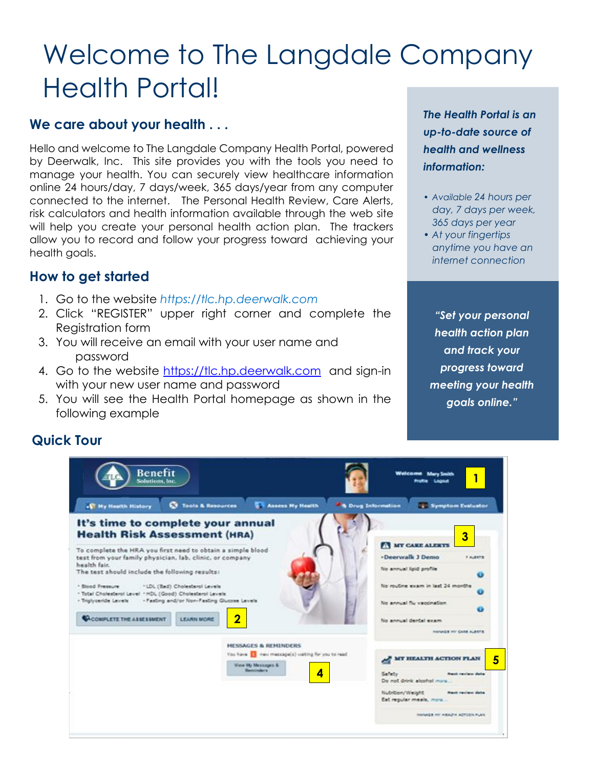# Welcome to The Langdale Company Health Portal!

#### **We care about your health . . .**

Hello and welcome to The Langdale Company Health Portal, powered by Deerwalk, Inc. This site provides you with the tools you need to manage your health. You can securely view healthcare information online 24 hours/day, 7 days/week, 365 days/year from any computer connected to the internet. The Personal Health Review, Care Alerts, risk calculators and health information available through the web site will help you create your personal health action plan. The trackers allow you to record and follow your progress toward achieving your health goals.

### **How to get started**

- 1. Go to the website *https://tlc.hp.deerwalk.com*
- 2. Click "REGISTER" upper right corner and complete the Registration form
- 3. You will receive an email with your user name and password
- 4. Go to the website [https://tlc.hp.deerwalk.com](https://tlc.hp.deerwalk.com/) and sign-in with your new user name and password
- 5. You will see the Health Portal homepage as shown in the following example

*The Health Portal is an up-to-date source of health and wellness information:*

- *• Available 24 hours per day, 7 days per week, 365 days per year*
- *• At your fingertips anytime you have an internet connection*

*"Set your personal health action plan and track your progress toward meeting your health goals online."*

#### **Quick Tour**